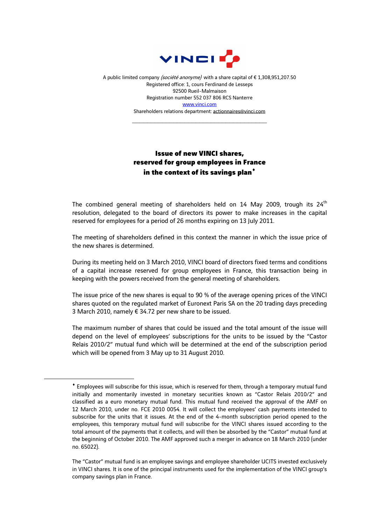

A public limited company (société anonyme) with a share capital of €1,308,951,207.50 Registered office: 1, cours Ferdinand de Lesseps 92500 Rueil-Malmaison Registration number 552 037 806 RCS Nanterre www.vinci.com Shareholders relations department: actionnaires@vinci.com

\_\_\_\_\_\_\_\_\_\_\_\_\_\_\_\_\_\_\_\_\_\_\_\_\_\_\_\_\_\_\_\_\_\_\_\_

## Issue of new VINCI shares, reserved for group employees in France in the context of its savings plan<sup>+</sup>

The combined general meeting of shareholders held on 14 May 2009, trough its  $24<sup>th</sup>$ resolution, delegated to the board of directors its power to make increases in the capital reserved for employees for a period of 26 months expiring on 13 July 2011.

The meeting of shareholders defined in this context the manner in which the issue price of the new shares is determined.

During its meeting held on 3 March 2010, VINCI board of directors fixed terms and conditions of a capital increase reserved for group employees in France, this transaction being in keeping with the powers received from the general meeting of shareholders.

The issue price of the new shares is equal to 90 % of the average opening prices of the VINCI shares quoted on the regulated market of Euronext Paris SA on the 20 trading days preceding 3 March 2010, namely € 34.72 per new share to be issued.

The maximum number of shares that could be issued and the total amount of the issue will depend on the level of employees' subscriptions for the units to be issued by the "Castor Relais 2010/2" mutual fund which will be determined at the end of the subscription period which will be opened from 3 May up to 31 August 2010.

 $\overline{a}$ 

<sup>♦</sup> Employees will subscribe for this issue, which is reserved for them, through a temporary mutual fund initially and momentarily invested in monetary securities known as "Castor Relais 2010/2" and classified as a euro monetary mutual fund. This mutual fund received the approval of the AMF on 12 March 2010, under no. FCE 2010 0054. It will collect the employees' cash payments intended to subscribe for the units that it issues. At the end of the 4-month subscription period opened to the employees, this temporary mutual fund will subscribe for the VINCI shares issued according to the total amount of the payments that it collects, and will then be absorbed by the "Castor" mutual fund at the beginning of October 2010. The AMF approved such a merger in advance on 18 March 2010 (under no. 65022).

The "Castor" mutual fund is an employee savings and employee shareholder UCITS invested exclusively in VINCI shares. It is one of the principal instruments used for the implementation of the VINCI group's company savings plan in France.